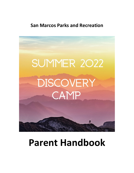## **San Marcos Parks and Recreation**



# **Parent Handbook**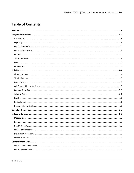## **Table of Contents**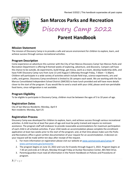

## **San Marcos Parks and Recreation**

## **Discovery Camp 2022**

## **Parent Handbook**

#### **Mission Statement**

The mission of Discovery Camp is to provide a safe and secure environment for children to explore, learn, and achieve success through various recreational activities.

#### **Program Description**

Come experience an adventure this summer with the City of San Marcos Discovery Camp! San Marcos Parks and Recreation Department is offering 8 themed weeks of exploring, adventure, and discovery. Campers will have the chance to be outside, do experiments, build things, get messy, work as a team, develop leadership skills, and have FUN! Discovery Camp runs from June 13 until August 5 (Monday through Friday, 7:30am – 5:30pm). Children will participate in a wide variety of activities which include field trips, science experiments, arts and crafts, and games. Discovery Camp enrollment is limited to 26 campers each week. We are working with the San Marcos Consolidated Independent School District (SMCISD) to have lunch provided and will have more details closer to the start of the program. If you would like to send a snack with your child, please send non-perishable food items, since refrigeration is not available.

#### **Program Eligibility**

To be eligible to participate in Discovery Camp, children must be between the ages of 5 to 10 years of age.

#### **Registration Dates**

City of San Marcos Residents: Monday, April 4 Non-residents: Monday, April 25

#### **Registration Process**

Discovery Camp was developed for children to explore, learn, and achieve success through various recreational activities. A child must be at least five years of age and must be potty trained and require no restroom assistance. The program staff will endeavor to provide reasonable accommodations for maximum participation of each child in all schedule activities. If your child needs an accommodation please complete the enrollment application at least two weeks prior to the start of the program; and, at that time please make sure the Parks and Recreations office is given written documentation of your request for an accommodation. A decision on your request will be made within ten days after receipt of the request.

- 1. For more information on registration please visit our website at [www.sanmarcostx.gov/camps](http://www.sanmarcostx.gov/camps) or [www.sanmarcostx.gov/activesmtx](http://www.sanmarcostx.gov/activesmtx)
- 2. The program begins on June 13, 2022 and runs for 8 weeks through August 5, 2022. Program begins at 7:30 am and ends at 5:30 pm, Monday through Friday at Dunbar Recreation Center, 801 MLK Drive.
- 3. Parents/guardian must read all information in the Parent Handbook on Policies and Procedures of program.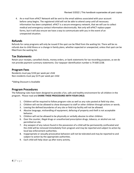4. An e-mail from ePACT Network will be sent to the email address associated with your account before camp begins. The registered child will not be able to attend camp until all necessary information has been completed. ePACT is a secure emergency network, that we will use to collect medical and emergency contact information electronically. Not only will ePACT replace paper forms, but it will also ensure we have a way to communicate with you in the event of an unexpected situation.

#### **Refunds**

Refunds for camp programs will only be issued if the spot can be filled from the waiting list. There will be no refunds due to child illness or a change in family plans, whether expected or unexpected, unless that spot can be filled from the waiting list.

#### **Tax Statements**

Retain your receipts, cancelled checks, money orders, or bank statements for tax recording purposes, as we do not provide payment summary statements. Our taxpayer identification number is 74 600 2238.

#### **Program Fees**

Residents must pay \$150 per week per child Non-residents must pay \$175 per week per child

\*Sibling Discount is Available

#### **Program Procedures**

The following rules have been designed to provide a fun, safe and healthy environment for all children in the program. Please read and **SHARE THESE PROCEDURES WITH YOUR CHILD.**

- 1. Children will be required to follow program rules as well as any rules posted at field trip sites.
- 2. Children will not be allowed to show disrespect to staff or other children through actions or words.
- 3. Leaving the defined boundaries of any site or field trip facility will not be allowed.
- 4. Abusive language, mishandling of equipment, defacing of property and theft is not acceptable behavior.
- 5. Children will not be allowed to be physically or verbally abusive to other children.
- 6. Over the counter, illegal drugs or unauthorized prescription drugs, tobacco, or alcohol are not permitted on site.
- 7. Any weapon of any nature found in the possession of a child will be permanently confiscated and the child will be removed immediately from program and may be reported and subject to action by local law enforcement authorities.
- 8. Inappropriate or sexually provocative behaviors will not be tolerated and may be reported to and subject to action by the appropriate authorities.
- 9. Each child will help clean up after every activity.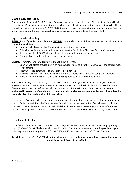#### **Closed Campus Policy**

For the safety of your child(ren), Discovery Camp will operate as a closed campus. The Site Supervisor will lock the building. When dropping off and picking up children, parents will be required to stay in their vehicles. Please contact the camp phone number (512-738-3285) if you need to get in touch with someone on campus. Once you are on the phone with a staff member, be prepared to answer questions to confirm your identity.

#### **Sign in and Out Policy**

**SIGN IN**-Parent/guardian must fill out the CHECK-IN roster daily at drop off time. Parent/Guardian will remain in the vehicle at all times.

- Upon arrival, please call the site phone to let a staff member know.
- Following sign in, the camper will be escorted into the facility by a Discovery Camp staff member.
- If you arrive after 8:30AM, please call the site phone to let a staff member know.
- The site phone number will be released at a later date.

**SIGN OUT**-Parent/Guardian will remain in the vehicle at all times.

- Upon arrival, please provide staff with your camper's name so a staff member can get the camper ready for departure.
- Meanwhile, the parent/guardian will sign the camper out
- Following sign out, the camper will be escorted to the vehicle by a Discovery Camp staff member.
- If you arrive before 4:30PM, please call the site phone to let a staff member know.

Your child may **only** be picked up by persons designated by parent/guardian listed on the registration form. If anyone other than those listed on the registration form are to pick up the child, we must have verbal notice from the parent/guardian before the child can be released. **A photo I.D. must be shown by the person authorized by you (parent/guardian) to pick up your child. Authorized persons must be 18 or older unless the person is 16 or older and a sibling of the participant.** 

It is the parent's responsibility to notify staff of proper registration information and current phone numbers for the child's file. Please inform the Youth Services Specialist through written notice of any changes or additions that need to be made to the child's file. Each child should have at least three emergency contacts/authorized pick-ups including phone numbers. We will **NOT** release a child to anyone not listed on the registration form.

#### **Late Pick Up Policy**

A late fee will be assessed per occurrence if your child/children are not picked up within the camp operating hours (7:30AM-5:30PM) The late fee charge will occur in 15 minute increments and must be paid before your child may return to the program (i.e. 5:31PM- 5:45PM = 15 minutes at a rate of \$6.00 per 15 minutes).

#### **Any child picked up after 5:45PM will not be allowed to return to the program until parent/guardian makes an appointment with Youth Services Staff.**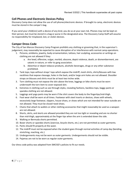#### **Cell Phones and Electronic Devices Policy**

Discovery Camp does not allow the use of cell phones/electronic devices. If brought to camp, electronic devices must be stored in the camper's bag.

If you send your child(ren) with a device of any kind, you do so at your own risk. Phones may not be kept on their person, but must be stored in a bag or purse in the designated area. The Discovery Camp Staff will assume no responsibility for misplaced, lost, or stolen devices.

#### **Camper Dress Code**

The City of San Marcos Discovery Camp Program prohibits any clothing or grooming that, in the supervisor's judgement, may reasonably be expected to cause disruption of or interference with normal camp operations.

- 1. Pictures, emblems, jewelry, body ornamentation, tattoos, hair sculpting, accessories or writings on clothing are not allowed if they:
	- a. Are lewd, offensive, vulgar, morbid, obscene, depict violence, death, or dismemberment, are satanic in nature, or refer to gang association.
	- b. Advertise or depict tobacco products, alcoholic beverages, drugs or any other substance prohibited.
- 2. Tank tops; tops without straps' tops which expose the midriff, mesh shirts, shirts/blouses with low necklines that expose cleavage, holes in the back, and/or large arm holes are not allowed. Shoulder straps on blouses and shirts must be at least two inches wide.
- 3. Torn clothing must not expose the skin above the knee, leggings or bike shorts must be worn underneath the torn item to cover exposed skin.
- 4. Extremes in clothing such as see through styles, revealing fashions, backless tops, baggy pants or spandex clothing are not allowed.
- 5. Leggings and yoga pants may be worn if the shirt covers the body to the fingertips/mid-thigh.
- 6. Foot wear shall be worn at all times. Footwear with steel inserts or devices, shoes with wheels, excessively large footwear, slippers, house-shoes, or shoes which are not intended for wear outside are not allowed. They must be closed–toed shoes.
- 7. Chains that attach to wallets or other clothing accessories that might reasonably be used as a weapon are not allowed.
- 8. Shorts, skirts, and skorts are allowed provided they are not too tight or revealing and are no shorter than mid-thigh, approximately at the finger tips when the arm is extended down the side.
- 9. Walking or Bermuda shorts permitted.
- 10. Boxer shorts or spandex shorts (exercise, bicycle shorts, etc.) are not permitted as outer garments.
- 11. Pants should fit properly at the waist.
- 12. The midriff must not be exposed when the student goes through normal activities of camp day (bending, stretching, reaching, etc.)
- 13. Undergarments may not be worn as outer garments. Undergarments should not be visible.
- 14. Pajamas are not to be worn as regular outer garments.

Our dress code policy was adapted from SMCISD's policies to fit our needs.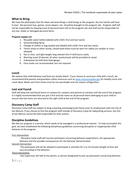#### **What to Bring**

We have the philosophy that the fewer personal things a child brings to the program, the less he/she will have to lose. No personal toys, games, music players, etc. should be brought to the program site. Program staff will not be responsible for keeping track of personal items left at the program site and shall not be responsible for any lost, stolen or damaged personal items.

#### *Program Supply List*

- 1. Reusable water bottle (labeled with child's first and last name)
- 2. Sunscreen/Bug Spray
- 3. Change of clothes in bag (sealed and labeled with child's first and last name)
- 4. Tennis shoes or other sturdy, closed-toed shoes must be worn for safety (no sandals or crocs allowed)
- 5. Hat or visor, and light weight long sleeved shirt if child burns easily.
- 6. Morning snack (if desired, all other snacks/meals will be provided at camp)
- 7. A Backpack (to hold their belongings)
- 8. Face masks are recommended, but not required

#### **Lunch**

We believe that child behavior and food are closely linked. If you choose to send your child with a lunch, we recommend that parents and guardians utilize resources such as [www.choosemyplate.gov](http://www.choosemyplate.gov/) for healthy lunch and snack ideas. Meals sent from home must be non-perishable and not require refrigeration.

#### **Lost and Found**

Staff will keep lost and found items on campus for campers and parents to retrieve until the end of the program. It is highly recommended that you put a first and last name on all personal items belonging to your child to ensure that lost items are returned to the right child at the end of the program.

#### **Discovery Camp Staff**

Discovery Camp staff are subject to drug screening and background checks prior to employment with the City of San Marcos. If you choose to hire the program staff outside of Discovery Camp for babysitting services, the City of San Marcos cannot be held responsible for their actions.

#### **Discipline Guidelines**

We feel our program is a service, which needs to be managed in a professional manner. To help accomplish this goal, we have established the following disciplinary guidelines concerning disruptive or inappropriate child behavior at the program.

#### First intervention

- Discovery Camp staff will counsel participant concerning behavior expectations, the appropriate behavior and the possible consequences for the behavior demonstrated.

#### Second intervention

-The participant will not be allowed to participate in activities for 5 to 10 minutes (length of time will vary according to the behavior.

#### Third intervention

-Site Supervisor will talk to the parent, or person designated to pick up participant concerning behavior.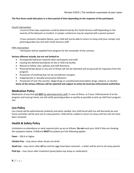#### **The first three could take place in a short period of time depending on the response of the participant.**

#### Fourth intervention

-A one to three-day suspension could be determined by the Youth Services staff depending on the severity of the behavior or incident. A camper conference may be required with a parent present.

-If you received a Discipline Notice, your child will not be able to return to camp until your camper and parent/guardian has met with Youth Services staff.

#### Fifth intervention

-Participant will be expelled from program for the remainder of the summer.

#### **Serious offenses include, but are not limited to:**

- Disrespectful behavior towards other participants and staff.
- Leaving the defined boundaries of site or field trip facility.
- Refusal to follow rules, policies and staff directions.
- Physical/Verbal abuse or any sort of threat will not be tolerated and are grounds for expulsion from the program.
- Possession of anything that can be considered a weapon.
- Inappropriate or sexually provocative behaviors.
- Possession of over the counter, illegal drugs or unauthorized prescription drugs, tobacco, or alcohol.

**Some of the serious offenses will be reported and subject to action by local law enforcement authorities**.

#### **Medication Policy**

Medication of any kind will **NOT** be administered by staff. In case of illness, or if your child becomes ill at the program and must go home, we will notify parent/guardian as quickly as possible to pick up child from program site.

#### **Lice Policy**

Lice checks will be administered randomly and when needed. Any child found with lice will discreetly be sent home and letter will be sent out to camp parents. Child will be unable to return to camp until lice and nits have been removed.

#### **Health & Safety Policy**

Limitations on attendance or early required pick up are as follows. **Do not** send your child if they are showing the symptoms below. Child(ren) **MUST** be picked up if the following applies:

**Fever** – 100.4 or higher

**Chicken Pox** – may return when all pox are dried

**Head Lice** – may return after **all** lice and lice eggs have been removed – a letter will be sent to all camp parents

**Pink Eye** – may return after treatment (prescription eye drops or medication)